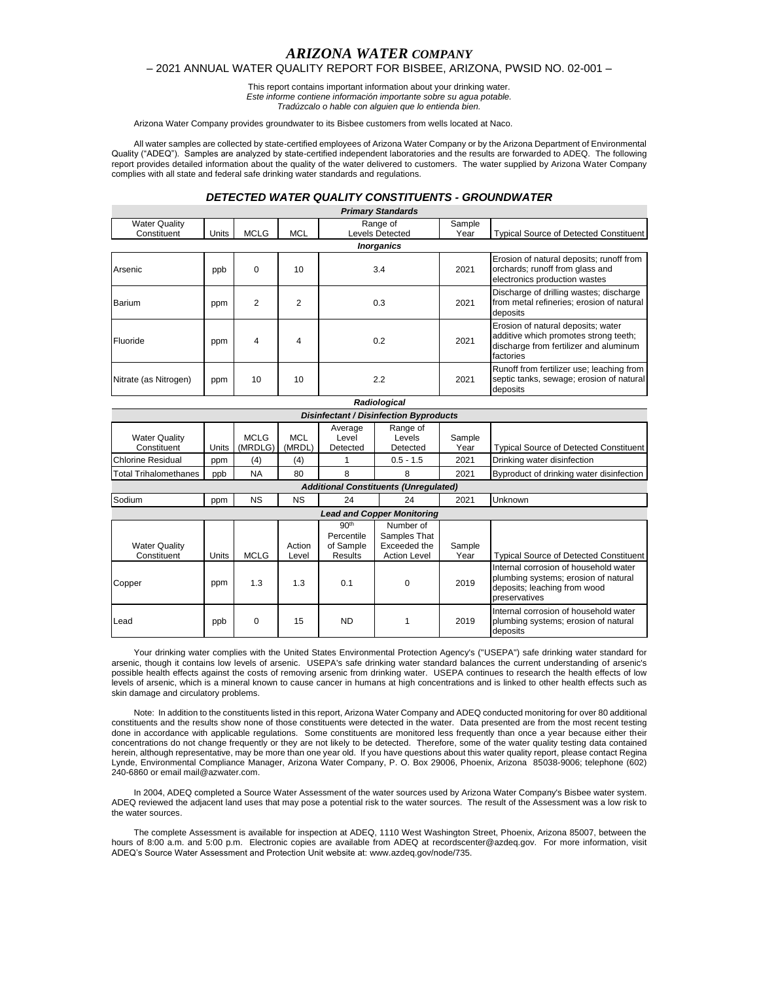# *ARIZONA WATER COMPANY*

### – 2021 ANNUAL WATER QUALITY REPORT FOR BISBEE, ARIZONA, PWSID NO. 02-001 –

This report contains important information about your drinking water. *Este informe contiene información importante sobre su agua potable. Tradúzcalo o hable con alguien que lo entienda bien.*

Arizona Water Company provides groundwater to its Bisbee customers from wells located at Naco.

All water samples are collected by state-certified employees of Arizona Water Company or by the Arizona Department of Environmental Quality ("ADEQ"). Samples are analyzed by state-certified independent laboratories and the results are forwarded to ADEQ. The following report provides detailed information about the quality of the water delivered to customers. The water supplied by Arizona Water Company complies with all state and federal safe drinking water standards and regulations.

## *DETECTED WATER QUALITY CONSTITUENTS - GROUNDWATER*

| <b>Primary Standards</b> |       |             |            |                        |        |                                                                                                                                    |  |  |
|--------------------------|-------|-------------|------------|------------------------|--------|------------------------------------------------------------------------------------------------------------------------------------|--|--|
| <b>Water Quality</b>     |       |             |            | Range of               | Sample |                                                                                                                                    |  |  |
| Constituent              | Units | <b>MCLG</b> | <b>MCL</b> | <b>Levels Detected</b> | Year   | <b>Typical Source of Detected Constituent</b>                                                                                      |  |  |
| <b>Inorganics</b>        |       |             |            |                        |        |                                                                                                                                    |  |  |
| Arsenic                  | ppb   | 0           | 10         | 3.4                    | 2021   | Erosion of natural deposits; runoff from<br>orchards; runoff from glass and<br>electronics production wastes                       |  |  |
| Barium                   | ppm   | 2           | 2          | 0.3                    | 2021   | Discharge of drilling wastes; discharge<br>from metal refineries; erosion of natural<br>deposits                                   |  |  |
| Fluoride                 | ppm   | 4           | 4          | 0.2                    | 2021   | Erosion of natural deposits; water<br>additive which promotes strong teeth;<br>discharge from fertilizer and aluminum<br>factories |  |  |
| Nitrate (as Nitrogen)    | ppm   | 10          | 10         | 2.2                    | 2021   | Runoff from fertilizer use; leaching from<br>septic tanks, sewage; erosion of natural<br>deposits                                  |  |  |

| Radiological                                  |       |                        |                      |                                                        |                                                                  |                |                                                                                                                                |
|-----------------------------------------------|-------|------------------------|----------------------|--------------------------------------------------------|------------------------------------------------------------------|----------------|--------------------------------------------------------------------------------------------------------------------------------|
| <b>Disinfectant / Disinfection Byproducts</b> |       |                        |                      |                                                        |                                                                  |                |                                                                                                                                |
| <b>Water Quality</b><br>Constituent           | Units | <b>MCLG</b><br>(MRDLG) | <b>MCL</b><br>(MRDL) | Average<br>Level<br>Detected                           | Range of<br>Levels<br>Detected                                   | Sample<br>Year | <b>Typical Source of Detected Constituent</b>                                                                                  |
| Chlorine Residual                             | ppm   | (4)                    | (4)                  |                                                        | $0.5 - 1.5$                                                      | 2021           | Drinking water disinfection                                                                                                    |
| Total Trihalomethanes                         | ppb   | <b>NA</b>              | 80                   | 8                                                      | 8                                                                | 2021           | Byproduct of drinking water disinfection                                                                                       |
| <b>Additional Constituents (Unregulated)</b>  |       |                        |                      |                                                        |                                                                  |                |                                                                                                                                |
| Sodium                                        | ppm   | <b>NS</b>              | <b>NS</b>            | 24                                                     | 24                                                               | 2021           | Unknown                                                                                                                        |
| <b>Lead and Copper Monitoring</b>             |       |                        |                      |                                                        |                                                                  |                |                                                                                                                                |
| <b>Water Quality</b><br>Constituent           | Units | <b>MCLG</b>            | Action<br>Level      | 90 <sup>th</sup><br>Percentile<br>of Sample<br>Results | Number of<br>Samples That<br>Exceeded the<br><b>Action Level</b> | Sample<br>Year | <b>Typical Source of Detected Constituent</b>                                                                                  |
| Copper                                        | ppm   | 1.3                    | 1.3                  | 0.1                                                    | 0                                                                | 2019           | Internal corrosion of household water<br>plumbing systems; erosion of natural<br>deposits; leaching from wood<br>preservatives |
| Lead                                          | ppb   | 0                      | 15                   | <b>ND</b>                                              |                                                                  | 2019           | Internal corrosion of household water<br>plumbing systems; erosion of natural<br>deposits                                      |

Your drinking water complies with the United States Environmental Protection Agency's ("USEPA") safe drinking water standard for arsenic, though it contains low levels of arsenic. USEPA's safe drinking water standard balances the current understanding of arsenic's possible health effects against the costs of removing arsenic from drinking water. USEPA continues to research the health effects of low levels of arsenic, which is a mineral known to cause cancer in humans at high concentrations and is linked to other health effects such as skin damage and circulatory problems.

Note: In addition to the constituents listed in this report, Arizona Water Company and ADEQ conducted monitoring for over 80 additional constituents and the results show none of those constituents were detected in the water. Data presented are from the most recent testing done in accordance with applicable regulations. Some constituents are monitored less frequently than once a year because either their concentrations do not change frequently or they are not likely to be detected. Therefore, some of the water quality testing data contained herein, although representative, may be more than one year old. If you have questions about this water quality report, please contact Regina Lynde, Environmental Compliance Manager, Arizona Water Company, P. O. Box 29006, Phoenix, Arizona 85038-9006; telephone (602) 240-6860 or email mail@azwater.com.

In 2004, ADEQ completed a Source Water Assessment of the water sources used by Arizona Water Company's Bisbee water system. ADEQ reviewed the adjacent land uses that may pose a potential risk to the water sources. The result of the Assessment was a low risk to the water sources.

The complete Assessment is available for inspection at ADEQ, 1110 West Washington Street, Phoenix, Arizona 85007, between the hours of 8:00 a.m. and 5:00 p.m. Electronic copies are available from ADEQ at recordscenter@azdeq.gov. For more information, visit ADEQ's Source Water Assessment and Protection Unit website at: www.azdeq.gov/node/735.